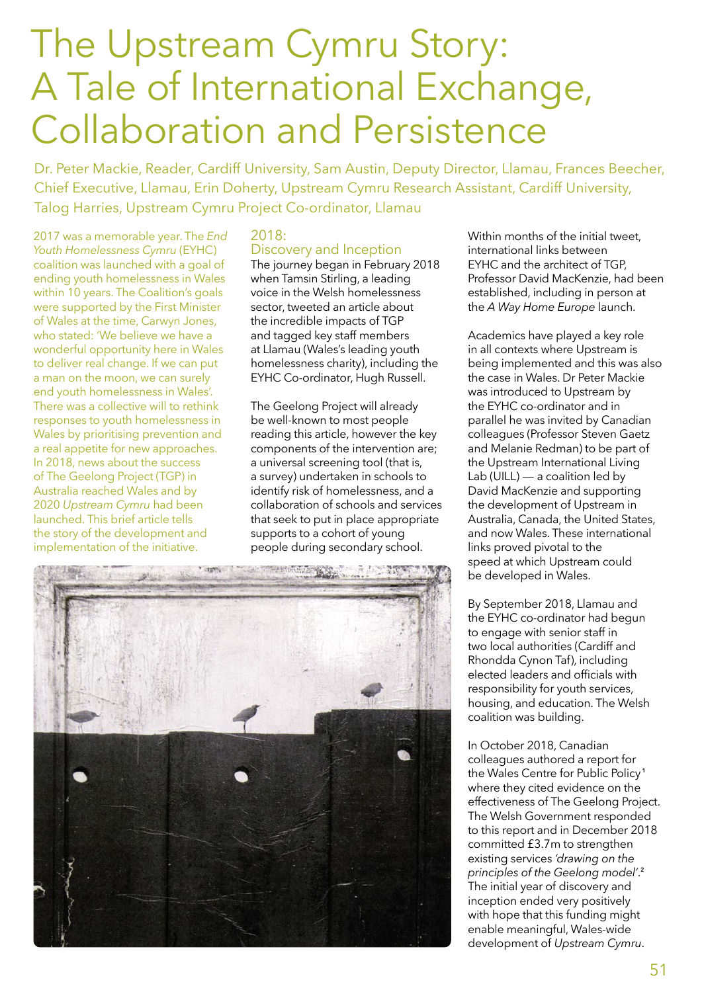# The Upstream Cymru Story: A Tale of International Exchange, Collaboration and Persistence

Dr. Peter Mackie, Reader, Cardiff University, Sam Austin, Deputy Director, Llamau, Frances Beecher, Chief Executive, Llamau, Erin Doherty, Upstream Cymru Research Assistant, Cardiff University, Talog Harries, Upstream Cymru Project Co-ordinator, Llamau

2017 was a memorable year. The *End Youth Homelessness Cymru* (EYHC) coalition was launched with a goal of ending youth homelessness in Wales within 10 years. The Coalition's goals were supported by the First Minister of Wales at the time, Carwyn Jones, who stated: 'We believe we have a wonderful opportunity here in Wales to deliver real change. If we can put a man on the moon, we can surely end youth homelessness in Wales'. There was a collective will to rethink responses to youth homelessness in Wales by prioritising prevention and a real appetite for new approaches. In 2018, news about the success of The Geelong Project (TGP) in Australia reached Wales and by 2020 *Upstream Cymru* had been launched. This brief article tells the story of the development and implementation of the initiative.

#### 2018:

# Discovery and Inception

The journey began in February 2018 when Tamsin Stirling, a leading voice in the Welsh homelessness sector, tweeted an article about the incredible impacts of TGP and tagged key staff members at Llamau (Wales's leading youth homelessness charity), including the EYHC Co-ordinator, Hugh Russell.

The Geelong Project will already be well-known to most people reading this article, however the key components of the intervention are; a universal screening tool (that is, a survey) undertaken in schools to identify risk of homelessness, and a collaboration of schools and services that seek to put in place appropriate supports to a cohort of young people during secondary school.



Academics have played a key role in all contexts where Upstream is being implemented and this was also the case in Wales. Dr Peter Mackie was introduced to Upstream by the EYHC co-ordinator and in parallel he was invited by Canadian colleagues (Professor Steven Gaetz and Melanie Redman) to be part of the Upstream International Living Lab (UILL)  $-$  a coalition led by David MacKenzie and supporting the development of Upstream in Australia, Canada, the United States, and now Wales. These international links proved pivotal to the speed at which Upstream could be developed in Wales.

By September 2018, Llamau and the EYHC co-ordinator had begun to engage with senior staff in two local authorities (Cardiff and Rhondda Cynon Taf), including elected leaders and officials with responsibility for youth services, housing, and education. The Welsh coalition was building.

In October 2018, Canadian colleagues authored a report for the Wales Centre for Public Policy**<sup>1</sup>** where they cited evidence on the effectiveness of The Geelong Project. The Welsh Government responded to this report and in December 2018 committed £3.7m to strengthen existing services *'drawing on the principles of the Geelong model'*. **2** The initial year of discovery and inception ended very positively with hope that this funding might enable meaningful, Wales-wide development of *Upstream Cymru*.

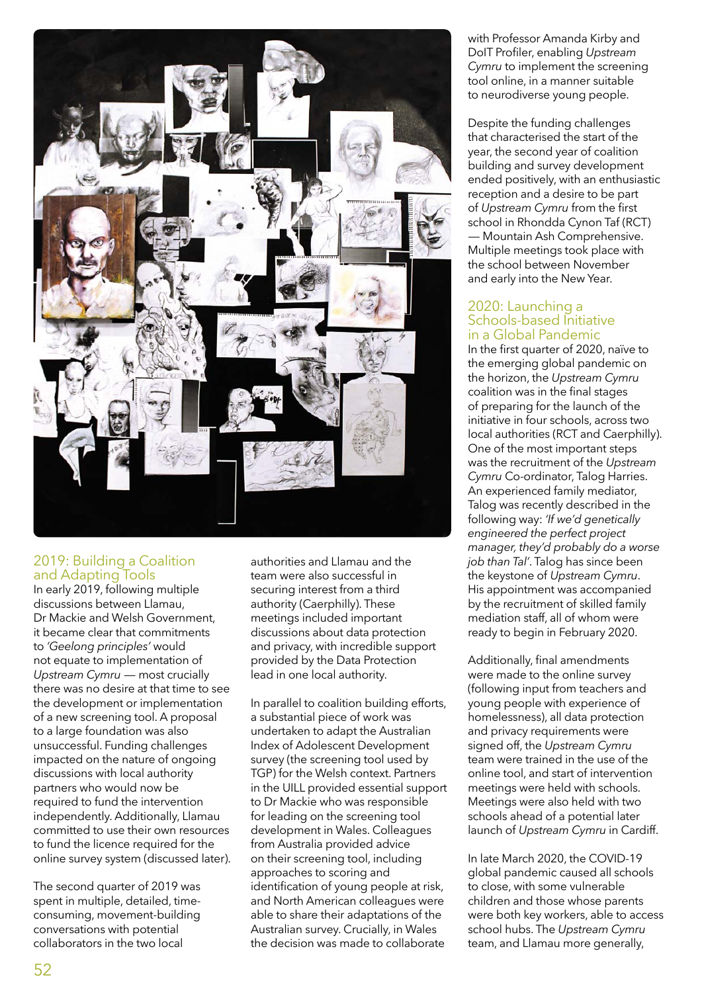

### 2019: Building a Coalition and Adapting Tools

In early 2019, following multiple discussions between Llamau, Dr Mackie and Welsh Government, it became clear that commitments to *'Geelong principles'* would not equate to implementation of *Upstream Cymru* — most crucially there was no desire at that time to see the development or implementation of a new screening tool. A proposal to a large foundation was also unsuccessful. Funding challenges impacted on the nature of ongoing discussions with local authority partners who would now be required to fund the intervention independently. Additionally, Llamau committed to use their own resources to fund the licence required for the online survey system (discussed later).

The second quarter of 2019 was spent in multiple, detailed, timeconsuming, movement-building conversations with potential collaborators in the two local

authorities and Llamau and the team were also successful in securing interest from a third authority (Caerphilly). These meetings included important discussions about data protection and privacy, with incredible support provided by the Data Protection lead in one local authority.

In parallel to coalition building efforts, a substantial piece of work was undertaken to adapt the Australian Index of Adolescent Development survey (the screening tool used by TGP) for the Welsh context. Partners in the UILL provided essential support to Dr Mackie who was responsible for leading on the screening tool development in Wales. Colleagues from Australia provided advice on their screening tool, including approaches to scoring and identification of young people at risk, and North American colleagues were able to share their adaptations of the Australian survey. Crucially, in Wales the decision was made to collaborate

with Professor Amanda Kirby and DoIT Profiler, enabling *Upstream Cymru* to implement the screening tool online, in a manner suitable to neurodiverse young people.

Despite the funding challenges that characterised the start of the year, the second year of coalition building and survey development ended positively, with an enthusiastic reception and a desire to be part of *Upstream Cymru* from the first school in Rhondda Cynon Taf (RCT) — Mountain Ash Comprehensive. Multiple meetings took place with the school between November and early into the New Year.

#### 2020: Launching a Schools-based Initiative in a Global Pandemic

In the first quarter of 2020, naïve to the emerging global pandemic on the horizon, the *Upstream Cymru* coalition was in the final stages of preparing for the launch of the initiative in four schools, across two local authorities (RCT and Caerphilly). One of the most important steps was the recruitment of the *Upstream Cymru* Co-ordinator, Talog Harries. An experienced family mediator, Talog was recently described in the following way: *'If we'd genetically engineered the perfect project manager, they'd probably do a worse job than Tal'*. Talog has since been the keystone of *Upstream Cymru*. His appointment was accompanied by the recruitment of skilled family mediation staff, all of whom were ready to begin in February 2020.

Additionally, final amendments were made to the online survey (following input from teachers and young people with experience of homelessness), all data protection and privacy requirements were signed off, the *Upstream Cymru* team were trained in the use of the online tool, and start of intervention meetings were held with schools. Meetings were also held with two schools ahead of a potential later launch of *Upstream Cymru* in Cardiff.

In late March 2020, the COVID-19 global pandemic caused all schools to close, with some vulnerable children and those whose parents were both key workers, able to access school hubs. The *Upstream Cymru* team, and Llamau more generally,